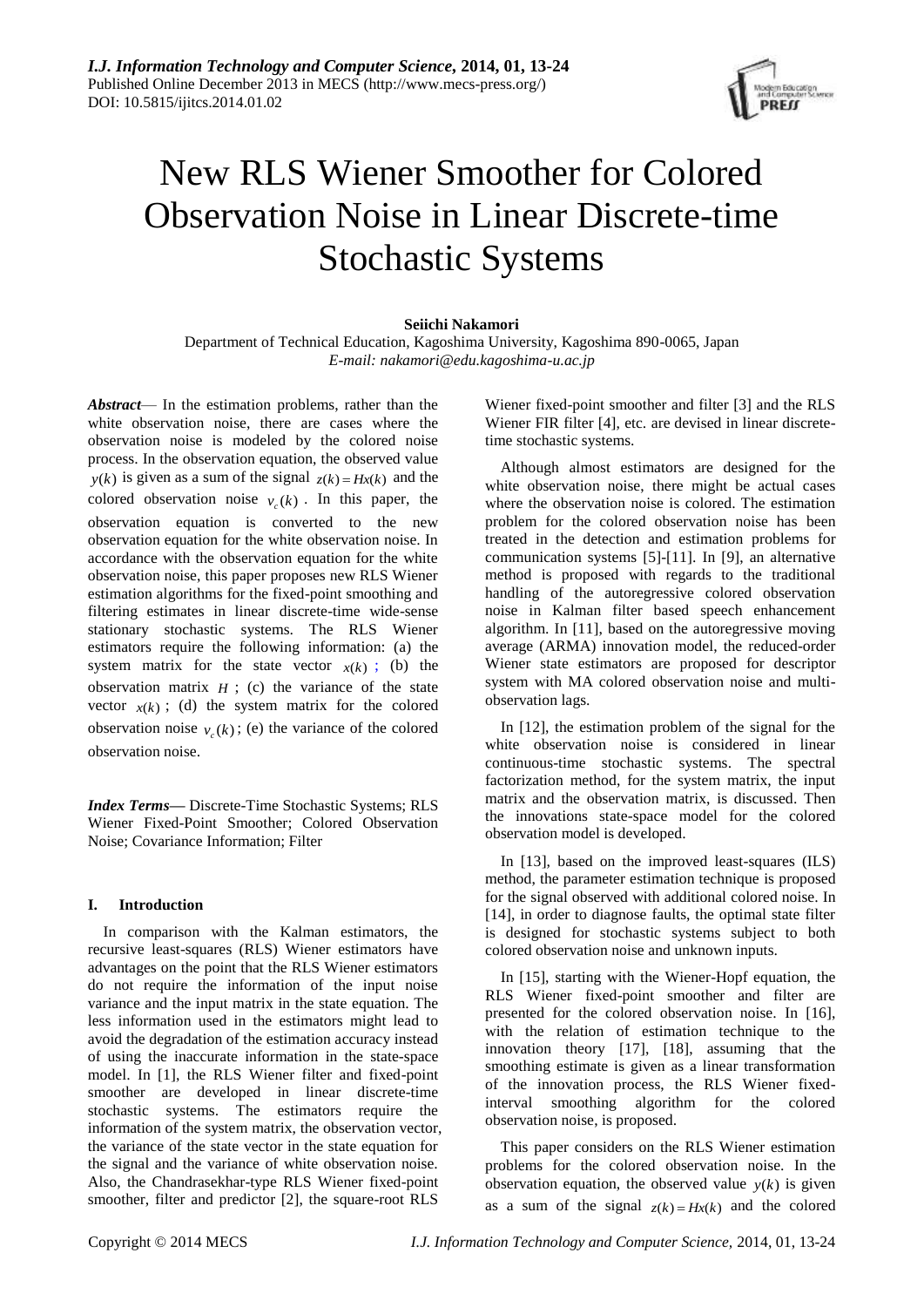

# New RLS Wiener Smoother for Colored Observation Noise in Linear Discrete-time Stochastic Systems

# **Seiichi Nakamori**

Department of Technical Education, Kagoshima University, Kagoshima 890-0065, Japan *E-mail: nakamori@edu.kagoshima-u.ac.jp*

*Abstract*— In the estimation problems, rather than the white observation noise, there are cases where the observation noise is modeled by the colored noise process. In the observation equation, the observed value *y*(*k*) is given as a sum of the signal  $z(k) = Hx(k)$  and the colored observation noise  $v_c(k)$ . In this paper, the observation equation is converted to the new observation equation for the white observation noise. In accordance with the observation equation for the white observation noise, this paper proposes new RLS Wiener estimation algorithms for the fixed-point smoothing and filtering estimates in linear discrete-time wide-sense stationary stochastic systems. The RLS Wiener estimators require the following information: (a) the system matrix for the state vector  $x(k)$ ; (b) the observation matrix  $H$ ; (c) the variance of the state vector  $x(k)$ ; (d) the system matrix for the colored observation noise  $v_c(k)$ ; (e) the variance of the colored observation noise.

*Index Terms***—** Discrete-Time Stochastic Systems; RLS Wiener Fixed-Point Smoother; Colored Observation Noise; Covariance Information; Filter

## **I. Introduction**

In comparison with the Kalman estimators, the recursive least-squares (RLS) Wiener estimators have advantages on the point that the RLS Wiener estimators do not require the information of the input noise variance and the input matrix in the state equation. The less information used in the estimators might lead to avoid the degradation of the estimation accuracy instead of using the inaccurate information in the state-space model. In [1], the RLS Wiener filter and fixed-point smoother are developed in linear discrete-time stochastic systems. The estimators require the information of the system matrix, the observation vector, the variance of the state vector in the state equation for the signal and the variance of white observation noise. Also, the Chandrasekhar-type RLS Wiener fixed-point smoother, filter and predictor [2], the square-root RLS

Wiener fixed-point smoother and filter [3] and the RLS Wiener FIR filter [4], etc. are devised in linear discretetime stochastic systems.

Although almost estimators are designed for the white observation noise, there might be actual cases where the observation noise is colored. The estimation problem for the colored observation noise has been treated in the detection and estimation problems for communication systems [5]-[11]. In [9], an alternative method is proposed with regards to the traditional handling of the autoregressive colored observation noise in Kalman filter based speech enhancement algorithm. In [11], based on the autoregressive moving average (ARMA) innovation model, the reduced-order Wiener state estimators are proposed for descriptor system with MA colored observation noise and multiobservation lags.

In [12], the estimation problem of the signal for the white observation noise is considered in linear continuous-time stochastic systems. The spectral factorization method, for the system matrix, the input matrix and the observation matrix, is discussed. Then the innovations state-space model for the colored observation model is developed.

In [13], based on the improved least-squares (ILS) method, the parameter estimation technique is proposed for the signal observed with additional colored noise. In [14], in order to diagnose faults, the optimal state filter is designed for stochastic systems subject to both colored observation noise and unknown inputs.

In [15], starting with the Wiener-Hopf equation, the RLS Wiener fixed-point smoother and filter are presented for the colored observation noise. In [16], with the relation of estimation technique to the innovation theory [17], [18], assuming that the smoothing estimate is given as a linear transformation of the innovation process, the RLS Wiener fixedinterval smoothing algorithm for the colored observation noise, is proposed.

This paper considers on the RLS Wiener estimation problems for the colored observation noise. In the observation equation, the observed value  $y(k)$  is given as a sum of the signal  $z(k) = Hx(k)$  and the colored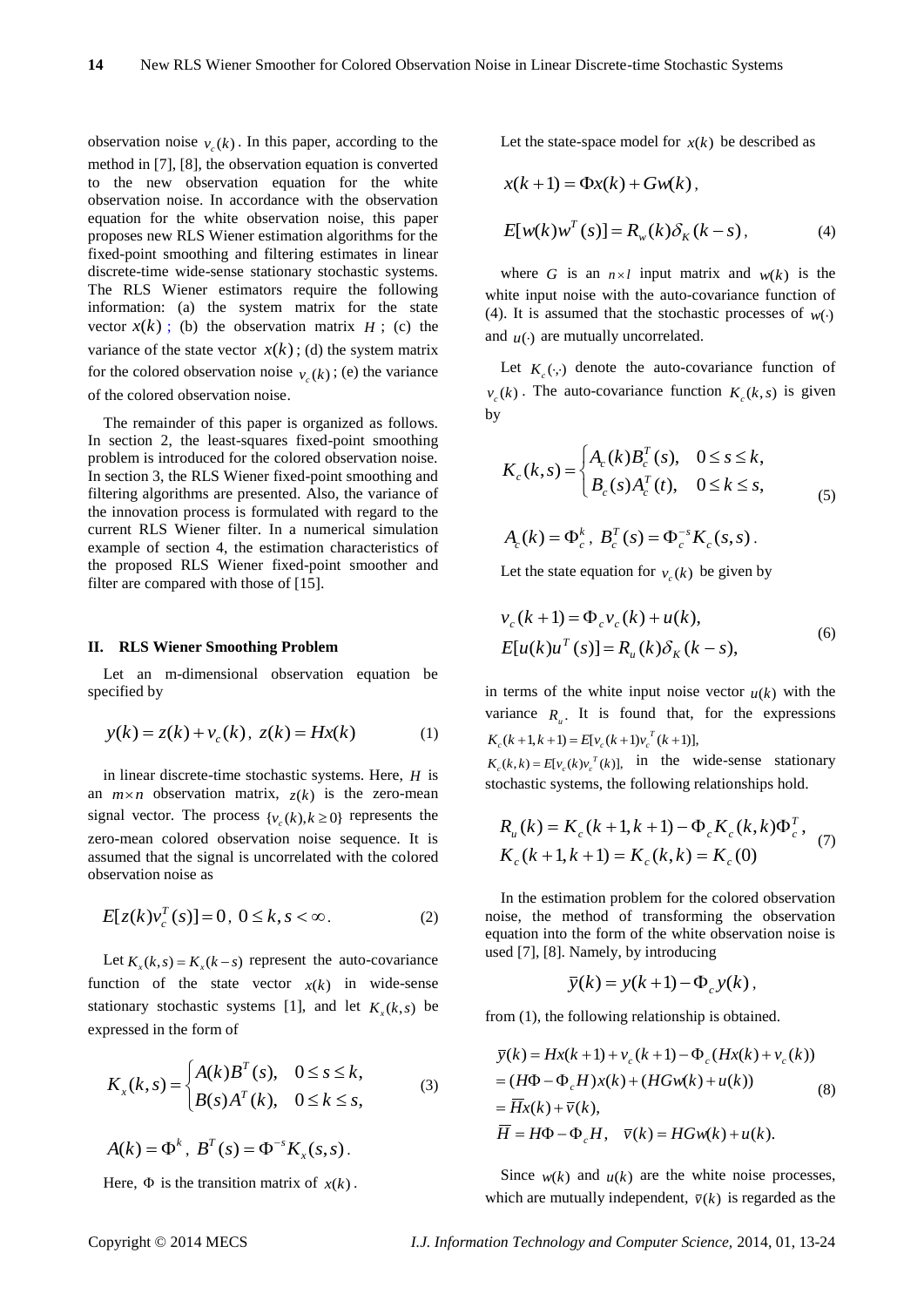observation noise  $v_c(k)$ . In this paper, according to the method in [7], [8], the observation equation is converted to the new observation equation for the white observation noise. In accordance with the observation equation for the white observation noise, this paper proposes new RLS Wiener estimation algorithms for the fixed-point smoothing and filtering estimates in linear discrete-time wide-sense stationary stochastic systems. The RLS Wiener estimators require the following information: (a) the system matrix for the state vector  $x(k)$ ; (b) the observation matrix  $H$ ; (c) the variance of the state vector  $x(k)$ ; (d) the system matrix for the colored observation noise  $v_c(k)$ ; (e) the variance of the colored observation noise.

The remainder of this paper is organized as follows. In section 2, the least-squares fixed-point smoothing problem is introduced for the colored observation noise. In section 3, the RLS Wiener fixed-point smoothing and filtering algorithms are presented. Also, the variance of the innovation process is formulated with regard to the current RLS Wiener filter. In a numerical simulation example of section 4, the estimation characteristics of the proposed RLS Wiener fixed-point smoother and filter are compared with those of [15].

#### **II. RLS Wiener Smoothing Problem**

Let an m-dimensional observation equation be specified by

$$
y(k) = z(k) + v_c(k), \ z(k) = Hx(k)
$$
 (1)

in linear discrete-time stochastic systems. Here, *H* is an  $m \times n$  observation matrix,  $z(k)$  is the zero-mean signal vector. The process  $\{v_c(k), k \ge 0\}$  represents the zero-mean colored observation noise sequence. It is assumed that the signal is uncorrelated with the colored observation noise as

$$
E[z(k)v_c^T(s)] = 0, \ 0 \le k, s < \infty.
$$
 (2)

Let  $K_x(k, s) = K_x(k - s)$  represent the auto-covariance function of the state vector  $x(k)$  in wide-sense stationary stochastic systems [1], and let  $K_x(k, s)$  be expressed in the form of

$$
K_x(k,s) = \begin{cases} A(k)B^T(s), & 0 \le s \le k, \\ B(s)A^T(k), & 0 \le k \le s, \end{cases}
$$
 (3)

$$
A(k) = \Phi^k, B^T(s) = \Phi^{-s} K_x(s, s).
$$

Here,  $\Phi$  is the transition matrix of  $x(k)$ .

Let the state-space model for  $x(k)$  be described as

$$
x(k+1) = \Phi x(k) + Gw(k),
$$
  
\n
$$
E[w(k)w^{T}(s)] = R_{w}(k)\delta_{K}(k-s),
$$
\n(4)

where G is an  $n \times l$  input matrix and  $w(k)$  is the white input noise with the auto-covariance function of (4). It is assumed that the stochastic processes of  $w(\cdot)$ and  $u(\cdot)$  are mutually uncorrelated.

Let  $K_c(\cdot)$  denote the auto-covariance function of  $v_c(k)$ . The auto-covariance function  $K_c(k, s)$  is given by

$$
K_c(k, s) = \begin{cases} A_c(k)B_c^T(s), & 0 \le s \le k, \\ B_c(s)A_c^T(t), & 0 \le k \le s, \end{cases}
$$
 (5)

$$
A_c(k) = \Phi_c^k, \ B_c^T(s) = \Phi_c^{-s} K_c(s, s).
$$

Let the state equation for  $v_c(k)$  be given by

$$
v_c(k+1) = \Phi_c v_c(k) + u(k),
$$
  
\n
$$
E[u(k)u^T(s)] = R_u(k)\delta_K(k-s),
$$
\n(6)

in terms of the white input noise vector  $u(k)$  with the variance  $R_u$ . It is found that, for the expressions  $K_c(k+1, k+1) = E[v_c(k+1)v_c^T(k+1)],$ 

 $K_c(k, k) = E[v_c(k)v_c^T(k)]$ , in the wide-sense stationary stochastic systems, the following relationships hold.

$$
R_u(k) = K_c(k+1, k+1) - \Phi_c K_c(k, k) \Phi_c^T,
$$
  
\n
$$
K_c(k+1, k+1) = K_c(k, k) = K_c(0)
$$
 (7)

In the estimation problem for the colored observation noise, the method of transforming the observation equation into the form of the white observation noise is used [7], [8]. Namely, by introducing

$$
\overline{y}(k) = y(k+1) - \Phi_c y(k),
$$

from (1), the following relationship is obtained.

$$
\overline{y}(k) = Hx(k+1) + v_c(k+1) - \Phi_c(Hx(k) + v_c(k))
$$
  
=  $(H\Phi - \Phi_c H)x(k) + (HGw(k) + u(k))$   
=  $\overline{H}x(k) + \overline{v}(k)$ ,  
 $\overline{H} = H\Phi - \Phi_c H, \quad \overline{v}(k) = HGw(k) + u(k)$ . (8)

Since  $w(k)$  and  $u(k)$  are the white noise processes, which are mutually independent,  $\bar{v}(k)$  is regarded as the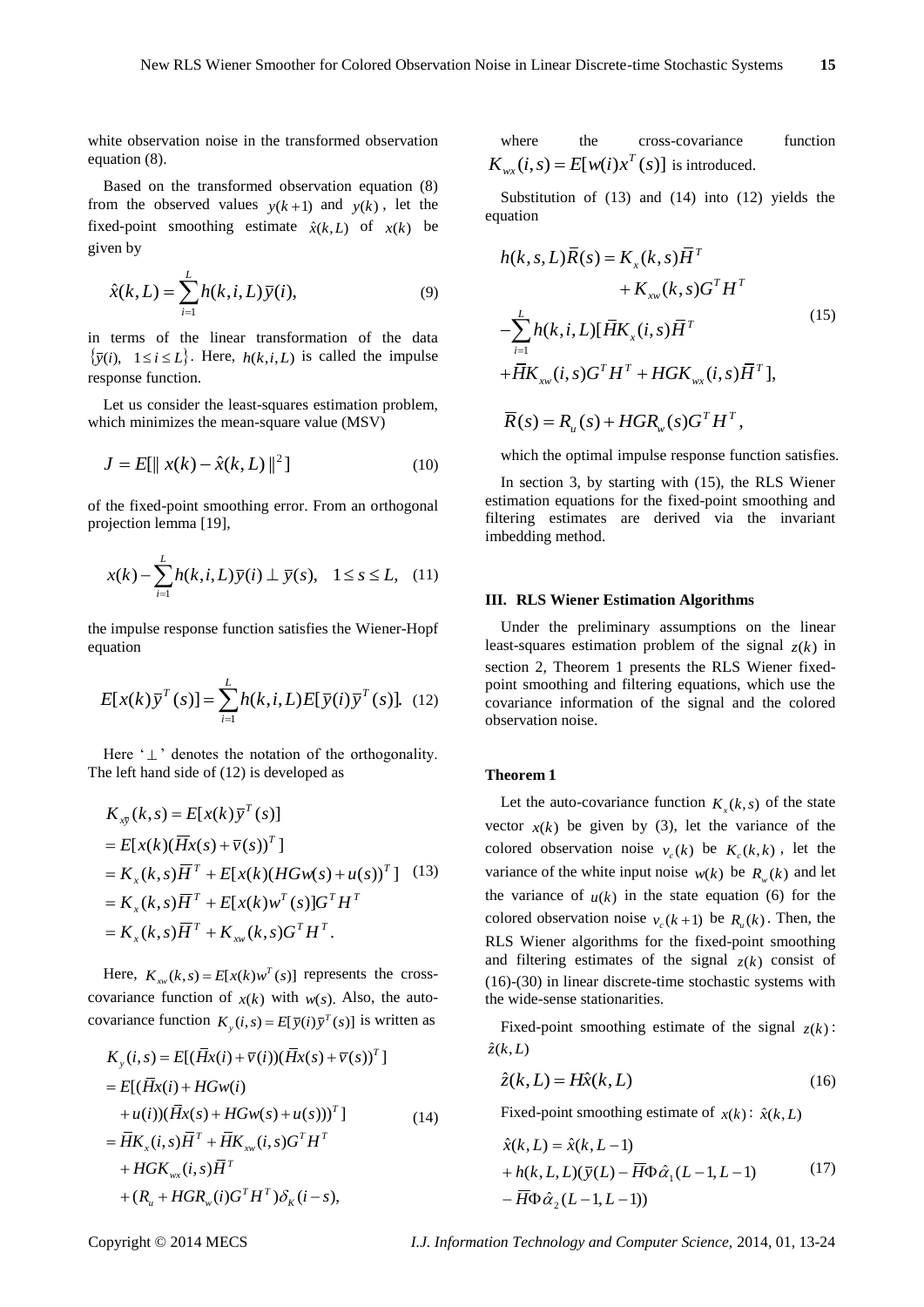white observation noise in the transformed observation equation (8).

Based on the transformed observation equation (8) from the observed values  $y(k+1)$  and  $y(k)$ , let the fixed-point smoothing estimate  $\hat{x}(k,L)$  of  $x(k)$  be given by

$$
\hat{x}(k,L) = \sum_{i=1}^{L} h(k,i,L)\,\overline{y}(i),\tag{9}
$$

in terms of the linear transformation of the data  $\{\bar{y}(i), \ 1 \le i \le L\}$ . Here,  $h(k, i, L)$  is called the impulse response function.

Let us consider the least-squares estimation problem, which minimizes the mean-square value (MSV)

$$
J = E[\|x(k) - \hat{x}(k, L)\|^2]
$$
 (10)

of the fixed-point smoothing error. From an orthogonal projection lemma [19],

$$
x(k) - \sum_{i=1}^{L} h(k, i, L)\overline{y}(i) \perp \overline{y}(s), \quad 1 \le s \le L, \quad (11)
$$

the impulse response function satisfies the Wiener-Hopf equation

$$
E[x(k)\overline{y}^T(s)] = \sum_{i=1}^{L} h(k,i,L)E[\overline{y}(i)\overline{y}^T(s)]. \quad (12)
$$

Here  $\Delta$   $\perp$  denotes the notation of the orthogonality. The left hand side of (12) is developed as

$$
K_{x\bar{y}}(k,s) = E[x(k)\bar{y}^T(s)]
$$
  
=  $E[x(k)(\bar{H}x(s) + \bar{v}(s))^T]$   
=  $K_x(k,s)\bar{H}^T + E[x(k)(HGw(s) + u(s))^T]$  (13)  
=  $K_x(k,s)\bar{H}^T + E[x(k)w^T(s)]G^TH^T$   
=  $K_x(k,s)\bar{H}^T + K_{xw}(k,s)G^TH^T$ .

Here,  $K_{xx}(k, s) = E[x(k)w^{T}(s)]$  represents the crosscovariance function of  $x(k)$  with  $w(s)$ . Also, the auto-

covariance function 
$$
K_y(i, s) = E[\bar{y}(i)\bar{y}^T(s)]
$$
 is written as  
\n
$$
K_y(i, s) = E[(\bar{H}x(i) + \bar{v}(i))(\bar{H}x(s) + \bar{v}(s))^T]
$$
\n
$$
= E[(\bar{H}x(i) + HGw(i) + u(i))(\bar{H}x(s) + HGw(s) + u(s)))^T]
$$
\n
$$
= \bar{H}K_x(i, s)\bar{H}^T + \bar{H}K_{xx}(i, s)G^TH^T + HGK_{wx}(i, s)\bar{H}^T + (R_u + HGR_w(i)G^TH^T)\delta_K(i - s),
$$
\n(14)

where the cross-covariance function  $K_{wx}(i,s) = E[w(i)x^T(s)]$  is introduced.

Substitution of (13) and (14) into (12) yields the equation

$$
h(k, s, L)\overline{R}(s) = K_x(k, s)\overline{H}^T + K_{xw}(k, s)G^TH^T
$$
  
+ K\_{xw}(k, s)G^TH^T  
-
$$
\sum_{i=1}^{L} h(k, i, L)[\overline{H}K_x(i, s)\overline{H}^T + \overline{H}K_{xx}(i, s)\overline{H}^T],
$$
  
+
$$
\overline{R}(s) = R_u(s) + HGR_w(s)G^TH^T,
$$
 (15)

which the optimal impulse response function satisfies.

In section 3, by starting with (15), the RLS Wiener estimation equations for the fixed-point smoothing and filtering estimates are derived via the invariant imbedding method.

#### **III. RLS Wiener Estimation Algorithms**

Under the preliminary assumptions on the linear least-squares estimation problem of the signal  $z(k)$  in section 2, Theorem 1 presents the RLS Wiener fixedpoint smoothing and filtering equations, which use the covariance information of the signal and the colored observation noise.

#### **Theorem 1**

Let the auto-covariance function  $K_x(k, s)$  of the state vector  $x(k)$  be given by (3), let the variance of the colored observation noise  $v_c(k)$  be  $K_c(k, k)$ , let the variance of the white input noise  $w(k)$  be  $R_w(k)$  and let the variance of  $u(k)$  in the state equation (6) for the colored observation noise  $v_c(k+1)$  be  $R_u(k)$ . Then, the RLS Wiener algorithms for the fixed-point smoothing and filtering estimates of the signal  $z(k)$  consist of (16)-(30) in linear discrete-time stochastic systems with the wide-sense stationarities.

Fixed-point smoothing estimate of the signal  $z(k)$ :  $\hat{z}(k,L)$ 

$$
\hat{z}(k,L) = H\hat{x}(k,L) \tag{16}
$$

Fixed-point smoothing estimate of  $x(k)$ :  $\hat{x}(k,L)$ 

$$
\hat{x}(k, L) = \hat{x}(k, L-1) \n+ h(k, L, L)(\overline{y}(L) - \overline{H}\Phi \hat{\alpha}_1(L-1, L-1)
$$
\n
$$
- \overline{H}\Phi \hat{\alpha}_2(L-1, L-1))
$$
\n(17)

Copyright © 2014 MECS *I.J. Information Technology and Computer Science,* 2014, 01, 13-24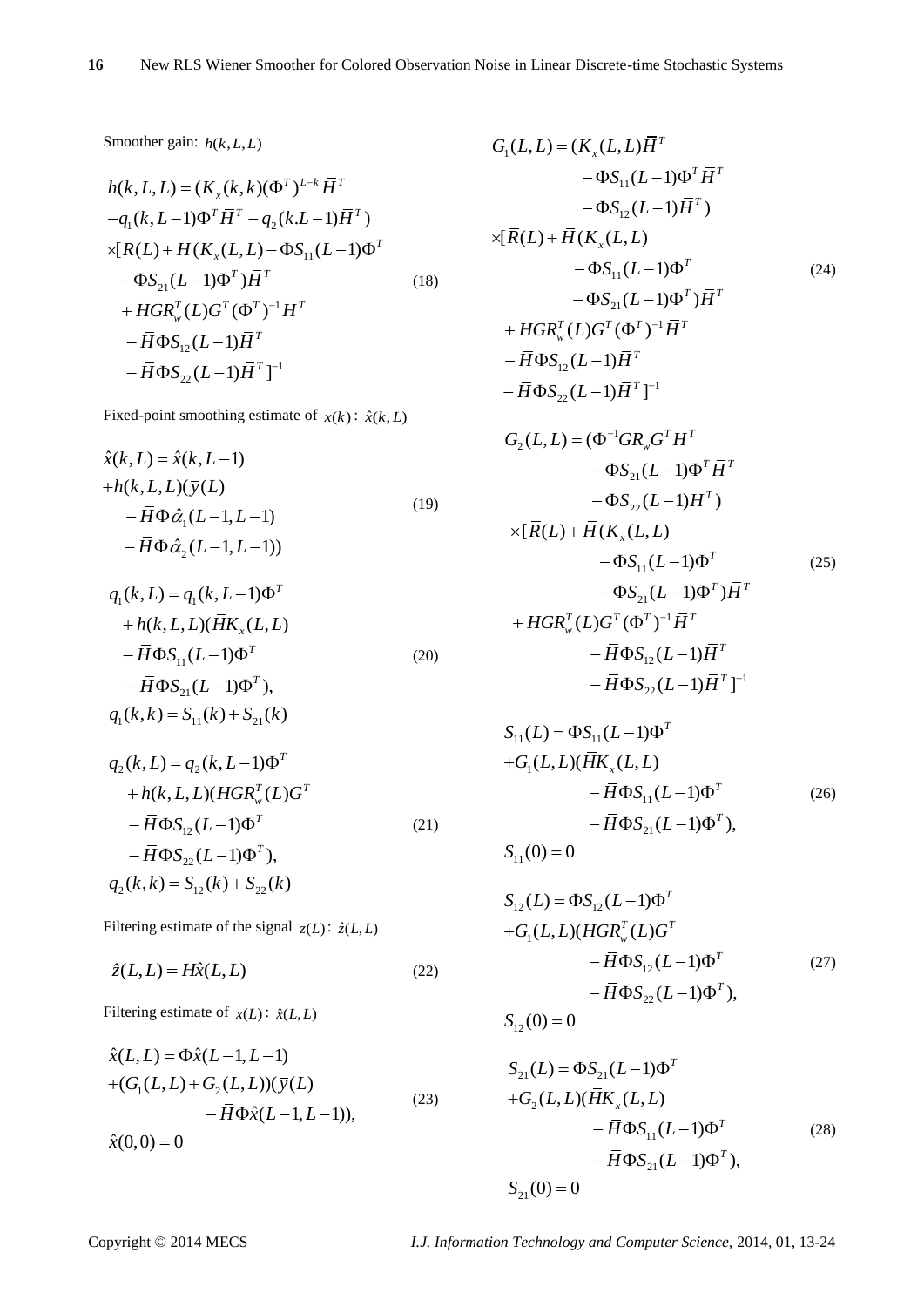Smoother gain: *h*(*k*,*L*,*L*)

$$
h(k, L, L) = (K_x(k, k)(\Phi^T)^{L-k} \overline{H}^T
$$
  
\n
$$
-q_1(k, L-1)\Phi^T \overline{H}^T - q_2(k. L-1)\overline{H}^T)
$$
  
\n
$$
\times [\overline{R}(L) + \overline{H}(K_x(L, L) - \Phi S_{11}(L-1)\Phi^T - \Phi S_{21}(L-1)\Phi^T)\overline{H}^T
$$
  
\n
$$
+ HGR_w^T(L)G^T(\Phi^T)^{-1}\overline{H}^T
$$
  
\n
$$
- \overline{H}\Phi S_{12}(L-1)\overline{H}^T
$$
  
\n
$$
- \overline{H}\Phi S_{22}(L-1)\overline{H}^T]^{-1}
$$

Fixed-point smoothing estimate of  $x(k)$ :  $\hat{x}(k, L)$ 

$$
\hat{x}(k, L) = \hat{x}(k, L-1) \n+ h(k, L, L)(\overline{y}(L) \n- \overline{H} \Phi \hat{\alpha}_1(L-1, L-1) \n- \overline{H} \Phi \hat{\alpha}_2(L-1, L-1))
$$
\n(19)

$$
q_1(k, L) = q_1(k, L-1)\Phi^T + h(k, L, L)(\overline{H}K_x(L, L) -\overline{H}\Phi S_{11}(L-1)\Phi^T
$$
 (20)  

$$
-\overline{H}\Phi S_{21}(L-1)\Phi^T),
$$
  

$$
q_1(k, k) = S_{11}(k) + S_{21}(k)
$$

$$
q_2(k, L) = q_2(k, L-1)\Phi^T
$$
  
+ h(k, L, L)(HGR<sub>w</sub><sup>T</sup>(L)G<sup>T</sup>  
-  $\overline{H} \Phi S_{12}(L-1)\Phi^T$  (21)  
-  $\overline{H} \Phi S_{22}(L-1)\Phi^T$ ),  

$$
q_2(k, k) = S_{12}(k) + S_{22}(k)
$$

Filtering estimate of the signal  $z(L)$ :  $\hat{z}(L,L)$ 

$$
\hat{z}(L, L) = H\hat{x}(L, L) \tag{22}
$$

Filtering estimate of  $x(L)$ :  $\hat{x}(L,L)$ 

$$
\hat{x}(L, L) = \Phi \hat{x}(L-1, L-1) \n+ (G_1(L, L) + G_2(L, L)) (\overline{y}(L) \n- \overline{H} \Phi \hat{x}(L-1, L-1)),
$$
\n(23)  
\n
$$
\hat{x}(0, 0) = 0
$$

$$
G_{1}(L, L) = (K_{x}(L, L)\overline{H}^{T}
$$
  
\n
$$
-\Phi S_{11}(L-1)\Phi^{T}\overline{H}^{T}
$$
  
\n
$$
-\Phi S_{12}(L-1)\overline{H}^{T})
$$
  
\n
$$
\times [\overline{R}(L) + \overline{H}(K_{x}(L, L)
$$
  
\n
$$
-\Phi S_{11}(L-1)\Phi^{T}
$$
  
\n
$$
-\Phi S_{21}(L-1)\Phi^{T})\overline{H}^{T}
$$
  
\n
$$
+ HGR_{w}^{T}(L)G^{T}(\Phi^{T})^{-1}\overline{H}^{T}
$$
  
\n
$$
- \overline{H}\Phi S_{12}(L-1)\overline{H}^{T}
$$
  
\n
$$
- \overline{H}\Phi S_{22}(L-1)\overline{H}^{T}]^{-1}
$$

$$
G_{2}(L, L) = (\Phi^{-1}GR_{w}G^{T}H^{T}
$$
  
\n
$$
-\Phi S_{21}(L-1)\Phi^{T}\overline{H}^{T}
$$
  
\n
$$
-\Phi S_{22}(L-1)\overline{H}^{T})
$$
  
\n
$$
\times [\overline{R}(L) + \overline{H}(K_{x}(L, L)
$$
  
\n
$$
-\Phi S_{11}(L-1)\Phi^{T}
$$
  
\n
$$
-\Phi S_{21}(L-1)\Phi^{T})\overline{H}^{T}
$$
  
\n
$$
+ HGR_{w}^{T}(L)G^{T}(\Phi^{T})^{-1}\overline{H}^{T}
$$
  
\n
$$
- \overline{H}\Phi S_{12}(L-1)\overline{H}^{T}
$$
  
\n
$$
- \overline{H}\Phi S_{22}(L-1)\overline{H}^{T}]^{-1}
$$

$$
S_{11}(L) = \Phi S_{11}(L-1)\Phi^{T}
$$
  
+
$$
G_{1}(L, L)(\overline{H}K_{x}(L, L)
$$

$$
-\overline{H}\Phi S_{11}(L-1)\Phi^{T}
$$

$$
-\overline{H}\Phi S_{21}(L-1)\Phi^{T},
$$

$$
S_{11}(0) = 0
$$
 (26)

$$
S_{12}(L) = \Phi S_{12}(L-1)\Phi^{T}
$$
  
+
$$
G_{1}(L, L)(HGR_{w}^{T}(L)G^{T}
$$

$$
- \overline{H}\Phi S_{12}(L-1)\Phi^{T}
$$

$$
- \overline{H}\Phi S_{22}(L-1)\Phi^{T},
$$

$$
S_{12}(0) = 0
$$
 (27)

$$
S_{21}(L) = \Phi S_{21}(L-1)\Phi^{T}
$$
  
+
$$
G_{2}(L, L)(\overline{H}K_{x}(L, L)
$$

$$
-\overline{H}\Phi S_{11}(L-1)\Phi^{T}
$$

$$
-\overline{H}\Phi S_{21}(L-1)\Phi^{T}),
$$

$$
S_{21}(0) = 0
$$
 (28)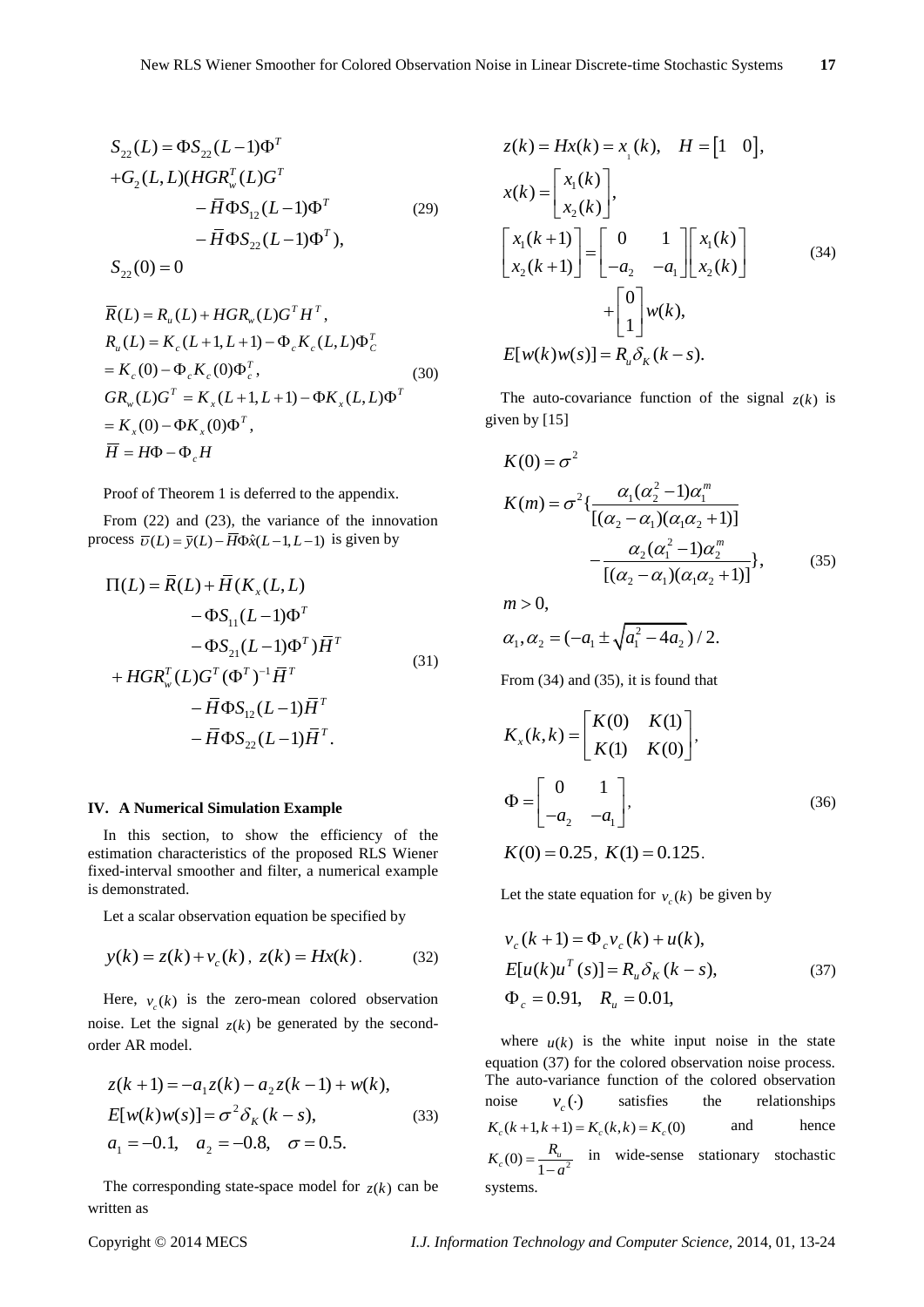$$
S_{22}(L) = \Phi S_{22}(L-1)\Phi^{T}
$$
  
+
$$
G_{2}(L, L)(HGR_{w}^{T}(L)G^{T}
$$

$$
- \overline{H}\Phi S_{12}(L-1)\Phi^{T}
$$

$$
- \overline{H}\Phi S_{22}(L-1)\Phi^{T},
$$

$$
S_{22}(0) = 0
$$
 (29)

$$
\overline{R}(L) = R_u(L) + HGR_w(L)G^T H^T,
$$
\n
$$
R_u(L) = K_c(L+1, L+1) - \Phi_c K_c(L, L) \Phi_c^T
$$
\n
$$
= K_c(0) - \Phi_c K_c(0) \Phi_c^T,
$$
\n
$$
GR_w(L)G^T = K_x(L+1, L+1) - \Phi K_x(L, L) \Phi^T
$$
\n
$$
= K_x(0) - \Phi K_x(0) \Phi^T,
$$
\n
$$
\overline{H} = H\Phi - \Phi_c H
$$
\n(8.10)

Proof of Theorem 1 is deferred to the appendix.

From (22) and (23), the variance of the innovation process  $\overline{v}(L) = \overline{y}(L) - \overline{H} \Phi \hat{x}(L-1, L-1)$  is given by

$$
\Pi(L) = \overline{R}(L) + \overline{H}(K_x(L, L) -\Phi S_{11}(L-1)\Phi^T -\Phi S_{21}(L-1)\Phi^T)\overline{H}^T -\Phi S_{12}(L-1)\overline{H}^T -\overline{H}\Phi S_{12}(L-1)\overline{H}^T -\overline{H}\Phi S_{22}(L-1)\overline{H}^T.
$$
\n(31)

#### **IV. A Numerical Simulation Example**

In this section, to show the efficiency of the estimation characteristics of the proposed RLS Wiener fixed-interval smoother and filter, a numerical example is demonstrated.

Let a scalar observation equation be specified by

$$
y(k) = z(k) + v_c(k), \ z(k) = Hx(k).
$$
 (32)

Here,  $v_c(k)$  is the zero-mean colored observation noise. Let the signal  $z(k)$  be generated by the secondorder AR model.

$$
z(k+1) = -a_1 z(k) - a_2 z(k-1) + w(k),
$$
  
\n
$$
E[w(k)w(s)] = \sigma^2 \delta_K (k - s),
$$
 (33)  
\n
$$
a_1 = -0.1, \quad a_2 = -0.8, \quad \sigma = 0.5.
$$

The corresponding state-space model for  $z(k)$  can be written as

$$
z(k) = Hx(k) = x_{1}(k), \quad H = \begin{bmatrix} 1 & 0 \end{bmatrix},
$$

$$
x(k) = \begin{bmatrix} x_{1}(k) \\ x_{2}(k) \end{bmatrix},
$$

$$
\begin{bmatrix} x_{1}(k+1) \\ x_{2}(k+1) \end{bmatrix} = \begin{bmatrix} 0 & 1 \\ -a_{2} & -a_{1} \end{bmatrix} \begin{bmatrix} x_{1}(k) \\ x_{2}(k) \end{bmatrix}
$$

$$
+ \begin{bmatrix} 0 \\ 1 \end{bmatrix} w(k),
$$

$$
E[w(k)w(s)] = R_{u} \delta_{K}(k-s).
$$
 (34)

The auto-covariance function of the signal  $z(k)$  is given by [15]

$$
K(0) = \sigma^2
$$
  
\n
$$
K(m) = \sigma^2 \left\{ \frac{\alpha_1(\alpha_2^2 - 1)\alpha_1^m}{[(\alpha_2 - \alpha_1)(\alpha_1\alpha_2 + 1)]} - \frac{\alpha_2(\alpha_1^2 - 1)\alpha_2^m}{[(\alpha_2 - \alpha_1)(\alpha_1\alpha_2 + 1)]} \right\},
$$
\n(35)

 $m > 0$ ,

$$
\alpha_1, \alpha_2 = (-a_1 \pm \sqrt{a_1^2 - 4a_2})/2.
$$

From (34) and (35), it is found that

$$
K_x(k,k) = \begin{bmatrix} K(0) & K(1) \\ K(1) & K(0) \end{bmatrix},
$$
  
\n
$$
\Phi = \begin{bmatrix} 0 & 1 \\ -a_2 & -a_1 \end{bmatrix},
$$
 (36)

 $K(0) = 0.25$ ,  $K(1) = 0.125$ .

Let the state equation for  $v_c(k)$  be given by

$$
v_c(k+1) = \Phi_c v_c(k) + u(k),
$$
  
\n
$$
E[u(k)u^T(s)] = R_u \delta_K(k-s),
$$
  
\n
$$
\Phi_c = 0.91, \quad R_u = 0.01,
$$
\n(37)

where  $u(k)$  is the white input noise in the state equation (37) for the colored observation noise process. The auto-variance function of the colored observation noise  $v_c(\cdot)$ satisfies the relationships  $K_c(k+1, k+1) = K_c(k, k) = K_c(0)$ and hence  $K_c(0) = \frac{R_u}{1 - a^2}$  in wide-sense stationary stochastic systems.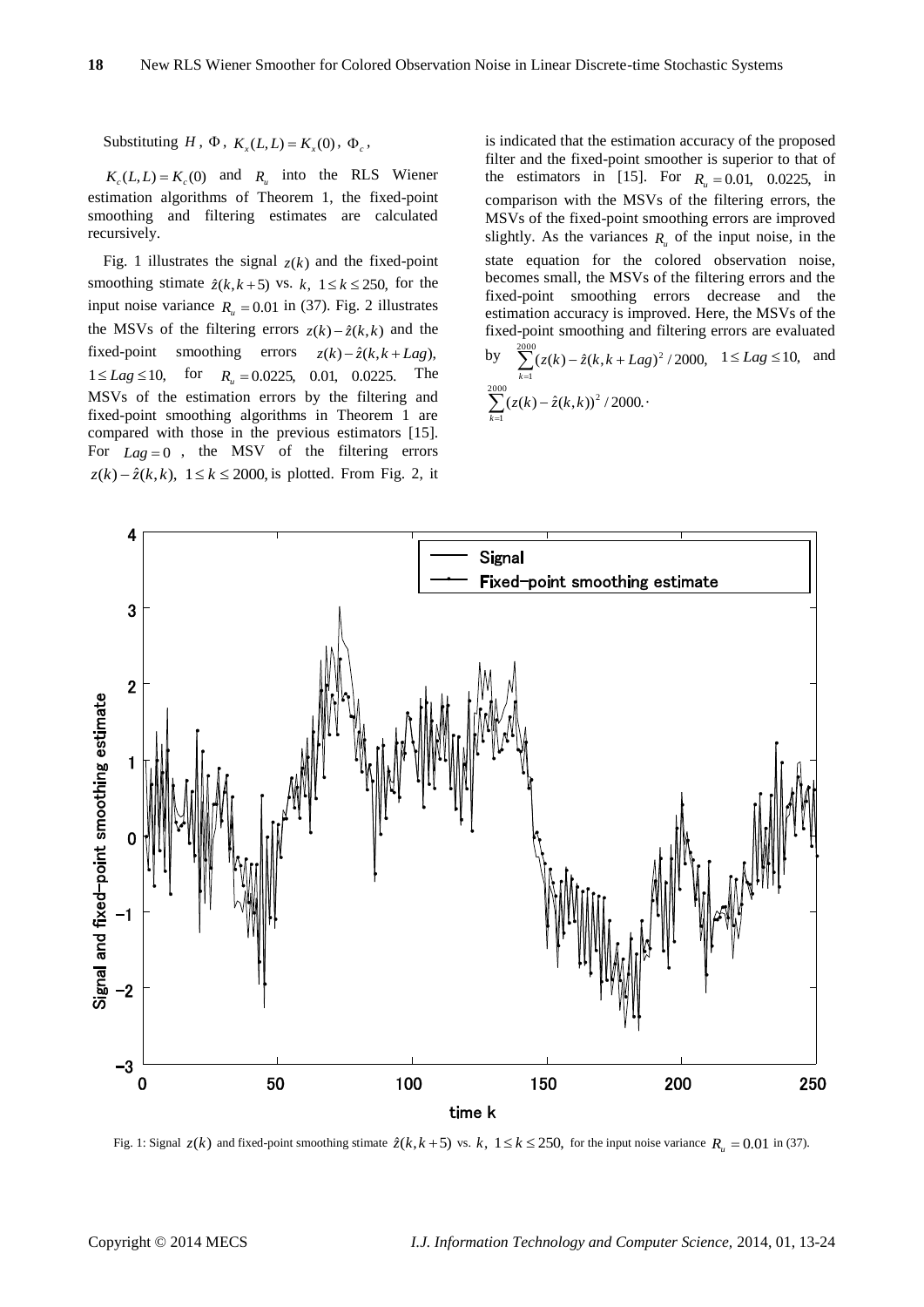Substituting  $H$ ,  $\Phi$ ,  $K_x(L, L) = K_x(0)$ ,  $\Phi_c$ ,

 $K_c(L, L) = K_c(0)$  and  $R_u$  into the RLS Wiener estimation algorithms of Theorem 1, the fixed-point smoothing and filtering estimates are calculated recursively.

Fig. 1 illustrates the signal  $z(k)$  and the fixed-point smoothing stimate  $\hat{z}(k, k+5)$  vs.  $k, 1 \le k \le 250$ , for the input noise variance  $R_u = 0.01$  in (37). Fig. 2 illustrates the MSVs of the filtering errors  $z(k) - \hat{z}(k, k)$  and the fixed-point smoothing errors  $z(k) - \hat{z}(k, k + Lag)$ ,  $1 \leq Lag \leq 10$ , for  $R_u = 0.0225$ , 0.01, 0.0225. The MSVs of the estimation errors by the filtering and fixed-point smoothing algorithms in Theorem 1 are compared with those in the previous estimators [15]. For  $Lag = 0$ , the MSV of the filtering errors  $z(k) - \hat{z}(k, k)$ ,  $1 \le k \le 2000$ , is plotted. From Fig. 2, it is indicated that the estimation accuracy of the proposed filter and the fixed-point smoother is superior to that of the estimators in [15]. For  $R_u = 0.01$ , 0.0225, in comparison with the MSVs of the filtering errors, the MSVs of the fixed-point smoothing errors are improved slightly. As the variances  $R_{\mu}$  of the input noise, in the state equation for the colored observation noise, becomes small, the MSVs of the filtering errors and the fixed-point smoothing errors decrease and the estimation accuracy is improved. Here, the MSVs of the fixed-point smoothing and filtering errors are evaluated by 2000 and

by 
$$
\sum_{k=1}^{1} (z(k) - \hat{z}(k, k + Lag)^2 / 2000, \quad 1 \leq Lag \leq 10, \text{ and}
$$

$$
\sum_{k=1}^{2000} (z(k) - \hat{z}(k, k))^2 / 2000.
$$



Fig. 1: Signal  $z(k)$  and fixed-point smoothing stimate  $\hat{z}(k, k+5)$  vs.  $k, 1 \le k \le 250$ , for the input noise variance  $R_u = 0.01$  in (37).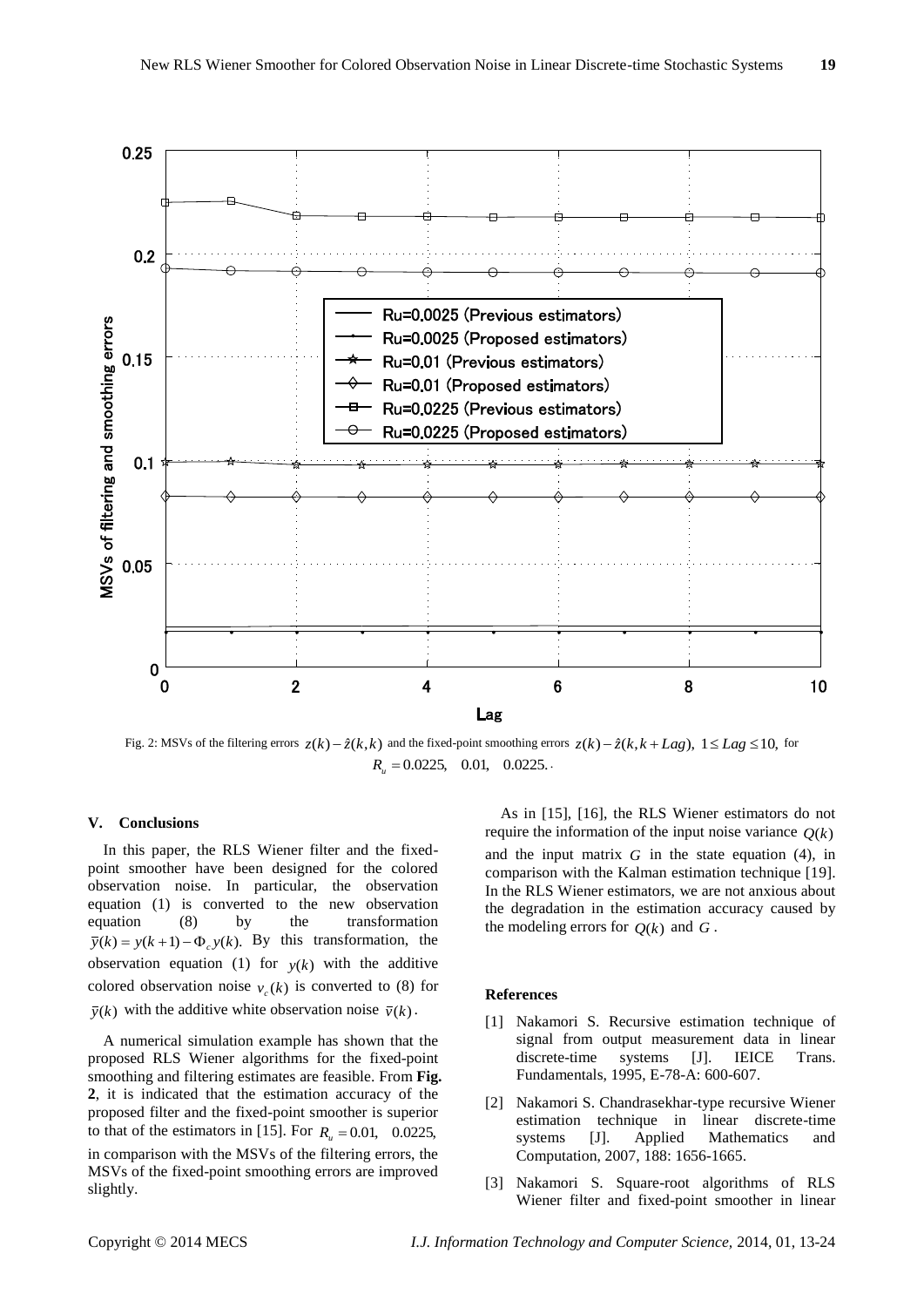

Fig. 2: MSVs of the filtering errors  $z(k) - \hat{z}(k, k)$  and the fixed-point smoothing errors  $z(k) - \hat{z}(k, k + Lag)$ ,  $1 \leq Lag \leq 10$ , for  $R_u = 0.0225, \quad 0.01, \quad 0.0225.$ 

# **V. Conclusions**

In this paper, the RLS Wiener filter and the fixedpoint smoother have been designed for the colored observation noise. In particular, the observation equation (1) is converted to the new observation equation (8) by the transformation  $\bar{y}(k) = y(k+1) - \Phi_c y(k)$ . By this transformation, the observation equation (1) for  $y(k)$  with the additive colored observation noise  $v_c(k)$  is converted to (8) for  $\overline{y}(k)$  with the additive white observation noise  $\overline{v}(k)$ .

A numerical simulation example has shown that the proposed RLS Wiener algorithms for the fixed-point smoothing and filtering estimates are feasible. From **Fig. 2**, it is indicated that the estimation accuracy of the proposed filter and the fixed-point smoother is superior to that of the estimators in [15]. For  $R_u = 0.01$ , 0.0225, in comparison with the MSVs of the filtering errors, the MSVs of the fixed-point smoothing errors are improved slightly.

As in [15], [16], the RLS Wiener estimators do not require the information of the input noise variance  $Q(k)$ and the input matrix  $G$  in the state equation  $(4)$ , in comparison with the Kalman estimation technique [19]. In the RLS Wiener estimators, we are not anxious about the degradation in the estimation accuracy caused by the modeling errors for  $Q(k)$  and  $G$ .

### **References**

- [1] Nakamori S. Recursive estimation technique of signal from output measurement data in linear discrete-time systems [J]. IEICE Trans. Fundamentals, 1995, E-78-A: 600-607.
- [2] Nakamori S. Chandrasekhar-type recursive Wiener estimation technique in linear discrete-time systems [J]. Applied Mathematics and Computation, 2007, 188: 1656-1665.
- [3] Nakamori S. Square-root algorithms of RLS Wiener filter and fixed-point smoother in linear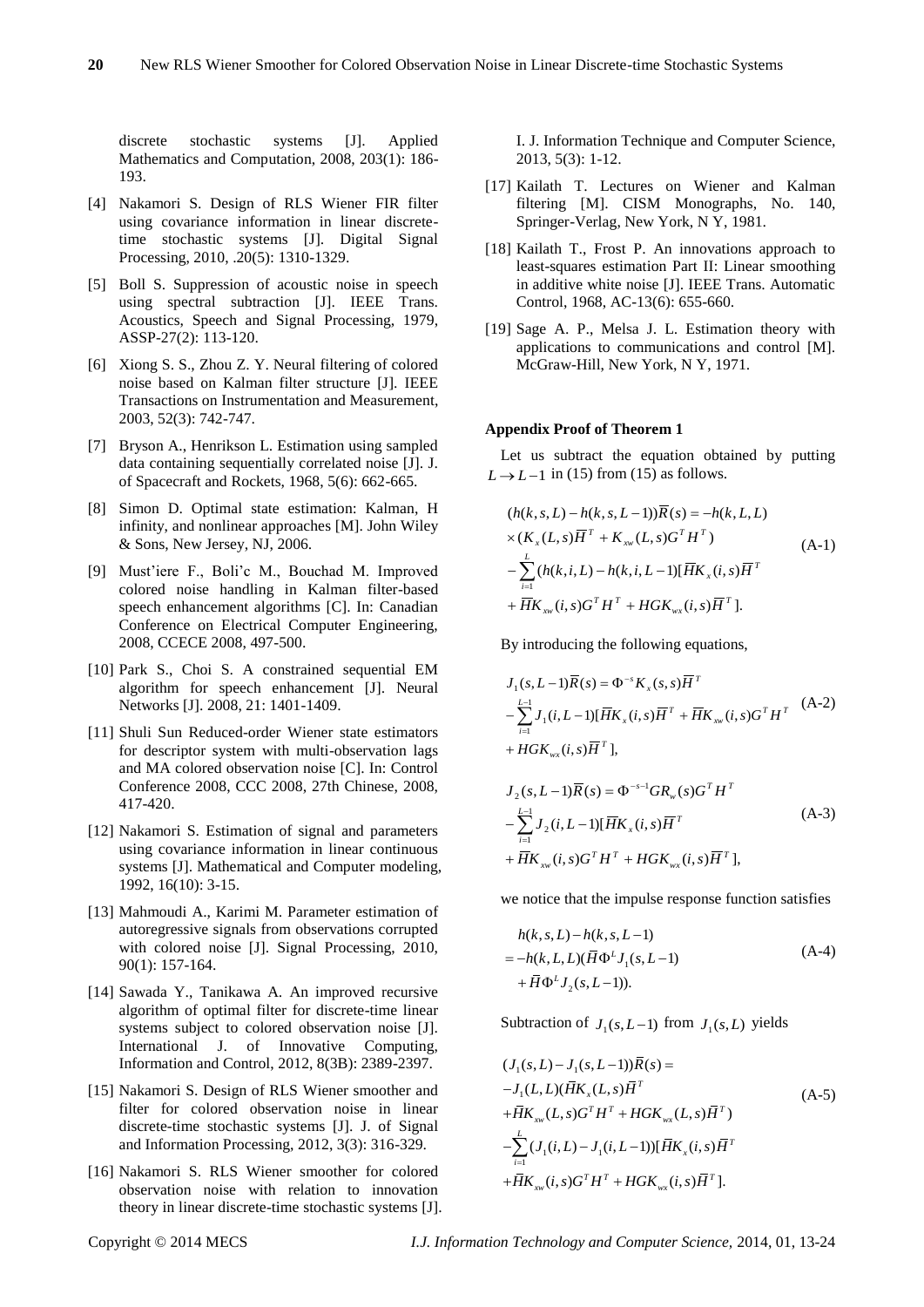discrete stochastic systems [J]. Applied Mathematics and Computation, 2008, 203(1): 186- 193.

- [4] Nakamori S. Design of RLS Wiener FIR filter using covariance information in linear discretetime stochastic systems [J]. Digital Signal Processing, 2010, .20(5): 1310-1329.
- [5] Boll S. Suppression of acoustic noise in speech using spectral subtraction [J]. IEEE Trans. Acoustics, Speech and Signal Processing, 1979, ASSP-27(2): 113-120.
- [6] Xiong S. S., Zhou Z. Y. Neural filtering of colored noise based on Kalman filter structure [J]. IEEE Transactions on Instrumentation and Measurement, 2003, 52(3): 742-747.
- [7] Bryson A., Henrikson L. Estimation using sampled data containing sequentially correlated noise [J]. J. of Spacecraft and Rockets, 1968, 5(6): 662-665.
- [8] Simon D. Optimal state estimation: Kalman, H infinity, and nonlinear approaches [M]. John Wiley & Sons, New Jersey, NJ, 2006.
- [9] Must'iere F., Boli'c M., Bouchad M. Improved colored noise handling in Kalman filter-based speech enhancement algorithms [C]. In: Canadian Conference on Electrical Computer Engineering, 2008, CCECE 2008, 497-500.
- [10] Park S., Choi S. A constrained sequential EM algorithm for speech enhancement [J]. Neural Networks [J]. 2008, 21: 1401-1409.
- [11] Shuli Sun Reduced-order Wiener state estimators for descriptor system with multi-observation lags and MA colored observation noise [C]. In: Control Conference 2008, CCC 2008, 27th Chinese, 2008, 417-420.
- [12] Nakamori S. Estimation of signal and parameters using covariance information in linear continuous systems [J]. Mathematical and Computer modeling, 1992, 16(10): 3-15.
- [13] Mahmoudi A., Karimi M. Parameter estimation of autoregressive signals from observations corrupted with colored noise [J]. Signal Processing, 2010, 90(1): 157-164.
- [14] Sawada Y., Tanikawa A. An improved recursive algorithm of optimal filter for discrete-time linear systems subject to colored observation noise [J]. International J. of Innovative Computing, Information and Control, 2012, 8(3B): 2389-2397.
- [15] Nakamori S. Design of RLS Wiener smoother and filter for colored observation noise in linear discrete-time stochastic systems [J]. J. of Signal and Information Processing, 2012, 3(3): 316-329.
- [16] Nakamori S. RLS Wiener smoother for colored observation noise with relation to innovation theory in linear discrete-time stochastic systems [J].

I. J. Information Technique and Computer Science, 2013, 5(3): 1-12.

- [17] Kailath T. Lectures on Wiener and Kalman filtering [M]. CISM Monographs, No. 140, Springer-Verlag, New York, N Y, 1981.
- [18] Kailath T., Frost P. An innovations approach to least-squares estimation Part II: Linear smoothing in additive white noise [J]. IEEE Trans. Automatic Control, 1968, AC-13(6): 655-660.
- [19] Sage A. P., Melsa J. L. Estimation theory with applications to communications and control [M]. McGraw-Hill, New York, N Y, 1971.

#### **Appendix Proof of Theorem 1**

Let us subtract the equation obtained by putting  $L \rightarrow L-1$  in (15) from (15) as follows.

$$
(h(k, s, L) - h(k, s, L - 1))\overline{R}(s) = -h(k, L, L)
$$
  
×( $K_x(L, s)\overline{H}^T + K_{xw}(L, s)G^TH^T$ )  

$$
-\sum_{i=1}^{L} (h(k, i, L) - h(k, i, L - 1)[\overline{H}K_x(i, s)\overline{H}^T
$$
  
+ $\overline{H}K_{xw}(i, s)G^TH^T + HGK_{wx}(i, s)\overline{H}^T$ ]. (A-1)

By introducing the following equations,

$$
J_{1}(s, L-1)\overline{R}(s) = \Phi^{-s} K_{x}(s, s)\overline{H}^{T}
$$
  
\n
$$
-\sum_{i=1}^{L-1} J_{1}(i, L-1)[\overline{H}K_{x}(i, s)\overline{H}^{T} + \overline{H}K_{x}(i, s)G^{T}H^{T} \quad (A-2)
$$
  
\n
$$
+ HGK_{wx}(i, s)\overline{H}^{T}],
$$
  
\n
$$
J_{2}(s, L-1)\overline{R}(s) = \Phi^{-s-1}GR_{w}(s)G^{T}H^{T}
$$
  
\n
$$
-\sum_{i=1}^{L-1} J_{2}(i, L-1)[\overline{H}K_{x}(i, s)\overline{H}^{T} \quad (A-3)
$$
  
\n
$$
+ \overline{H}K_{x}(i, s)G^{T}H^{T} + HGK_{wx}(i, s)\overline{H}^{T}],
$$

we notice that the impulse response function satisfies

$$
h(k, s, L) - h(k, s, L - 1)
$$
  
=  $-h(k, L, L)(\overline{H}\Phi^{L}J_{1}(s, L - 1)$   
+  $\overline{H}\Phi^{L}J_{2}(s, L - 1)$ ). (A-4)

Subtraction of  $J_1(s, L-1)$  from  $J_1(s, L)$  yields

$$
(J_1(s, L) - J_1(s, L-1))\overline{R}(s) =
$$
  
\n
$$
-J_1(L, L)(\overline{H}K_x(L, s)\overline{H}^T
$$
  
\n
$$
+\overline{H}K_{xy}(L, s)G^TH^T + HGK_{wx}(L, s)\overline{H}^T)
$$
  
\n
$$
-\sum_{i=1}^{L} (J_1(i, L) - J_1(i, L-1))[\overline{H}K_x(i, s)\overline{H}^T
$$
  
\n
$$
+\overline{H}K_{xy}(i, s)G^TH^T + HGK_{wx}(i, s)\overline{H}^T].
$$
\n(4.5)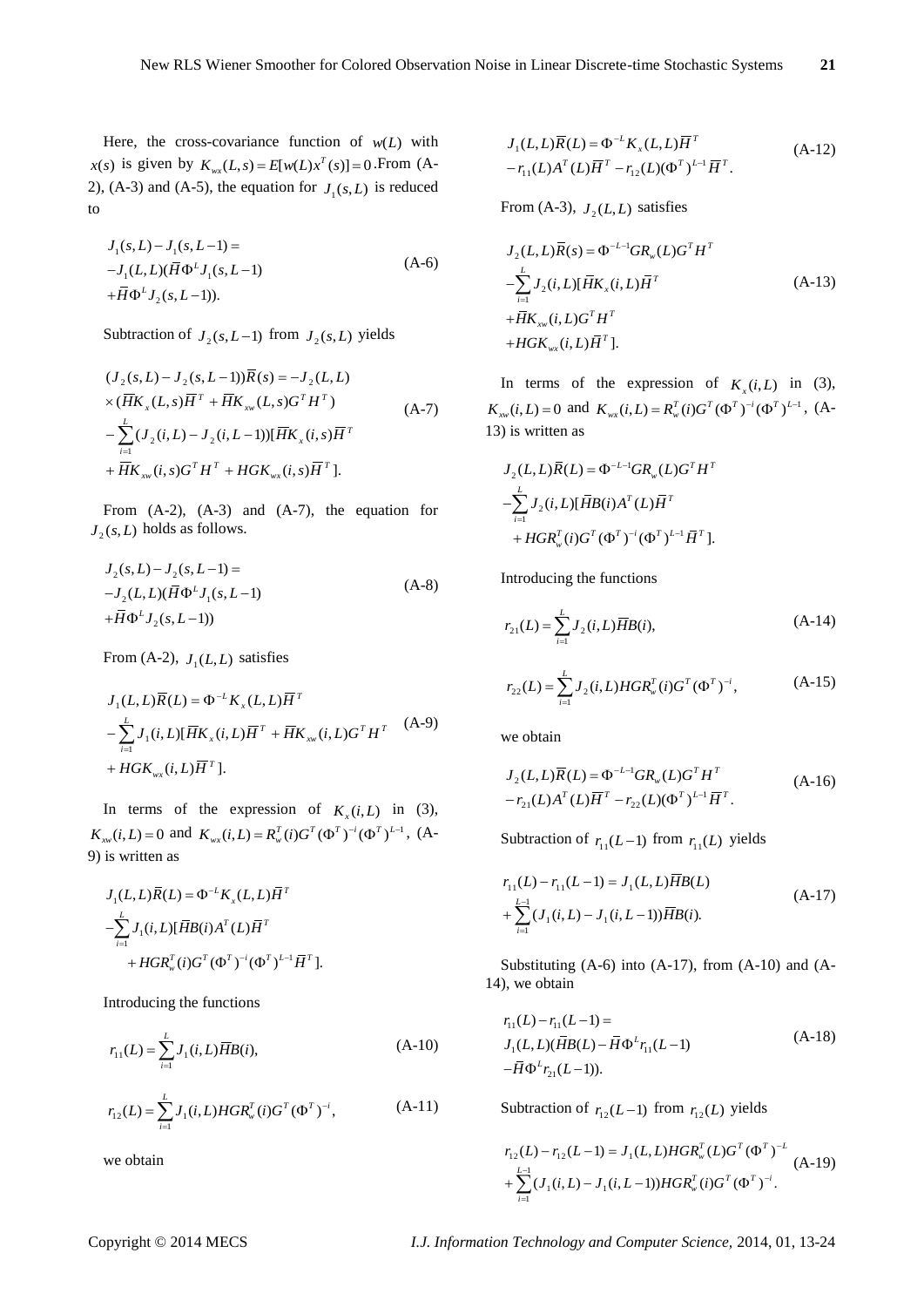Here, the cross-covariance function of  $w(L)$  with *x*(*s*) is given by  $K_{wx}(L, s) = E[w(L)x^{T}(s)] = 0$ . From (A-2), (A-3) and (A-5), the equation for  $J_1(s,L)$  is reduced to

$$
J_1(s, L) - J_1(s, L-1) =
$$
  
-J<sub>1</sub>(L, L)( $\bar{H}\Phi^L J_1(s, L-1)$   
+ $\bar{H}\Phi^L J_2(s, L-1)$ ). (A-6)

Subtraction of  $J_2(s, L-1)$  from  $J_2(s, L)$  yields

$$
(J_2(s,L) - J_2(s,L-1))\overline{R}(s) = -J_2(L,L)
$$
  
×( $\overline{H}K_x(L,s)\overline{H}^T + \overline{H}K_{xy}(L,s)G^TH^T$ )  

$$
-\sum_{i=1}^{L} (J_2(i,L) - J_2(i,L-1))[\overline{H}K_x(i,s)\overline{H}^T
$$
  
+ $\overline{H}K_{xy}(i,s)G^TH^T + HGK_{wx}(i,s)\overline{H}^T].$  (A-7)

From (A-2), (A-3) and (A-7), the equation for  $J_2(s, L)$  holds as follows.

$$
J_2(s, L) - J_2(s, L-1) =
$$
  
-J<sub>2</sub>(L, L)( $\bar{H}\Phi^L J_1(s, L-1)$   
+ $\bar{H}\Phi^L J_2(s, L-1)$ ) (A-8)

From  $(A-2)$ ,  $J_1(L,L)$  satisfies

$$
J_1(L,L)\overline{R}(L) = \Phi^{-L}K_x(L,L)\overline{H}^T
$$
  
 
$$
-\sum_{i=1}^L J_1(i,L)[\overline{H}K_x(i,L)\overline{H}^T + \overline{H}K_{xx}(i,L)G^TH^T
$$
 (A-9)  
+
$$
H G K_{wx}(i,L)\overline{H}^T].
$$

In terms of the expression of  $K_x(i,L)$  in (3),  $K_{xw}(i, L) = 0$  and  $K_{wx}(i, L) = R_w^T(i)G^T(\Phi^T)^{-i}(\Phi^T)^{L-1}$ , (A-9) is written as

$$
J_1(L, L)\overline{R}(L) = \Phi^{-L}K_x(L, L)\overline{H}^T
$$
  
-
$$
\sum_{i=1}^L J_1(i, L)[\overline{H}B(i)A^T(L)\overline{H}^T
$$
  
+
$$
HGR_w^T(i)G^T(\Phi^T)^{-i}(\Phi^T)^{L-1}\overline{H}^T].
$$

Introducing the functions

$$
r_{11}(L) = \sum_{i=1}^{L} J_1(i, L) \overline{H} B(i),
$$
 (A-10)

$$
r_{12}(L) = \sum_{i=1}^{L} J_1(i, L) HGR_w^T(i)G^T (\Phi^T)^{-i}, \qquad (A-11)
$$

we obtain

$$
J_1(L, L)\overline{R}(L) = \Phi^{-L}K_x(L, L)\overline{H}^T
$$
  
\n
$$
-r_{11}(L)A^T(L)\overline{H}^T - r_{12}(L)(\Phi^T)^{L-1}\overline{H}^T.
$$
 (A-12)

From (A-3),  $J_2(L,L)$  satisfies

$$
J_2(L, L)\overline{R}(s) = \Phi^{-L-1}GR_w(L)G^TH^T
$$
  
\n
$$
-\sum_{i=1}^{L} J_2(i, L)[\overline{H}K_x(i, L)\overline{H}^T
$$
  
\n
$$
+\overline{H}K_{xw}(i, L)G^TH^T
$$
  
\n
$$
+HGK_{wx}(i, L)\overline{H}^T].
$$
\n(A-13)

In terms of the expression of  $K_x(i,L)$  in (3),  $K_{\text{av}}(i, L) = 0$  and  $K_{\text{wx}}(i, L) = R_{\text{w}}^T(i)G^T(\Phi^T)^{-i}(\Phi^T)^{L-1}$ , (A-13) is written as

$$
J_2(L, L)\overline{R}(L) = \Phi^{-L-1}GR_w(L)G^TH^T
$$
  

$$
-\sum_{i=1}^L J_2(i, L)[\overline{H}B(i)A^T(L)\overline{H}^T
$$
  
+
$$
HGR_w^T(i)G^T(\Phi^T)^{-i}(\Phi^T)^{L-1}\overline{H}^T].
$$

Introducing the functions

$$
r_{21}(L) = \sum_{i=1}^{L} J_2(i, L) \overline{H} B(i),
$$
 (A-14)

$$
r_{22}(L) = \sum_{i=1}^{L} J_2(i, L) HGR_w^T(i)G^T (\Phi^T)^{-i}, \qquad (A-15)
$$

we obtain

$$
J_2(L,L)\overline{R}(L) = \Phi^{-L-1}GR_w(L)G^TH^T
$$
  

$$
-r_{21}(L)A^T(L)\overline{H}^T - r_{22}(L)(\Phi^T)^{L-1}\overline{H}^T.
$$
 (A-16)

Subtraction of  $r_{11}(L-1)$  from  $r_{11}(L)$  yields

$$
r_{11}(L) - r_{11}(L-1) = J_1(L, L)\overline{H}B(L)
$$
  
+
$$
\sum_{i=1}^{L-1} (J_1(i, L) - J_1(i, L-1))\overline{H}B(i).
$$
 (A-17)

Substituting (A-6) into (A-17), from (A-10) and (A-14), we obtain

$$
r_{11}(L) - r_{11}(L-1) =
$$
  
\n
$$
J_1(L, L)(\overline{H}B(L) - \overline{H}\Phi^L r_{11}(L-1)
$$
  
\n
$$
-\overline{H}\Phi^L r_{21}(L-1)).
$$
\n(A-18)

Subtraction of  $r_{12}(L-1)$  from  $r_{12}(L)$  yields

$$
r_{12}(L) - r_{12}(L-1) = J_1(L, L) HGR_w^T(L)G^T (\Phi^T)^{-L}
$$
  
+ 
$$
\sum_{i=1}^{L-1} (J_1(i, L) - J_1(i, L-1)) HGR_w^T(i)G^T (\Phi^T)^{-i}.
$$
 (A-19)

Copyright © 2014 MECS *I.J. Information Technology and Computer Science,* 2014, 01, 13-24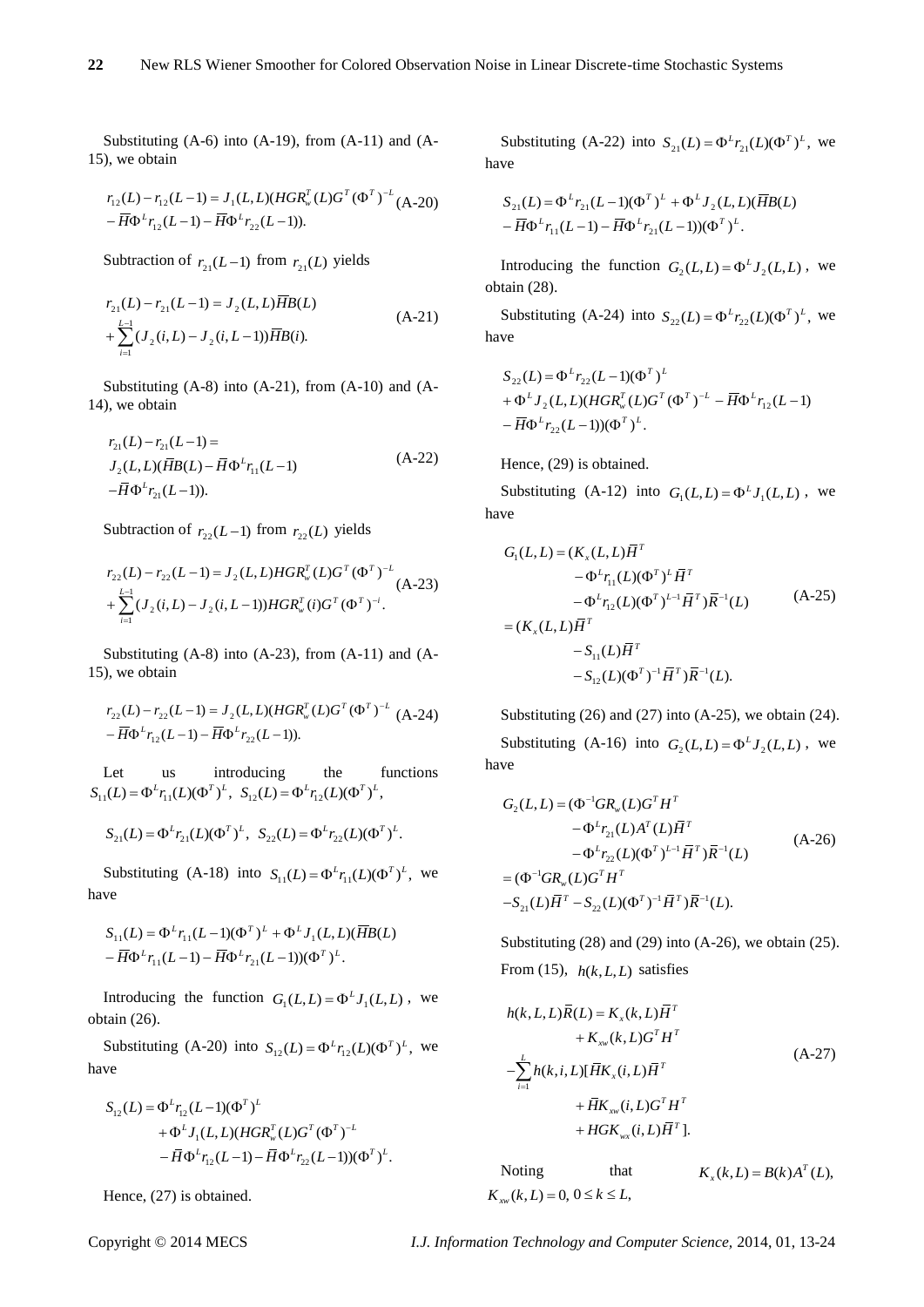Substituting (A-6) into (A-19), from (A-11) and (A-15), we obtain

$$
r_{12}(L) - r_{12}(L-1) = J_1(L, L)(HGR_w^T(L)G^T (\Phi^T)^{-L} (A-20) - \overline{H} \Phi^L r_{12}(L-1) - \overline{H} \Phi^L r_{22}(L-1)).
$$

Subtraction of  $r_{21}(L-1)$  from  $r_{21}(L)$  yields

$$
r_{21}(L) - r_{21}(L-1) = J_2(L, L)\overline{H}B(L)
$$
  
+
$$
\sum_{i=1}^{L-1} (J_2(i, L) - J_2(i, L-1))\overline{H}B(i).
$$
 (A-21)

Substituting  $(A-8)$  into  $(A-21)$ , from  $(A-10)$  and  $(A-$ 14), we obtain

$$
r_{21}(L) - r_{21}(L-1) =
$$
  
\n
$$
J_2(L, L)(\overline{H}B(L) - \overline{H}\Phi^L r_{11}(L-1))
$$
  
\n
$$
-\overline{H}\Phi^L r_{21}(L-1)).
$$
\n(A-22)

Subtraction of  $r_{22}(L-1)$  from  $r_{22}(L)$  yields

$$
r_{22}(L) - r_{22}(L-1) = J_2(L, L) HGR_w^T(L)G^T (\Phi^T)^{-L}
$$
  
+ 
$$
\sum_{i=1}^{L-1} (J_2(i, L) - J_2(i, L-1)) HGR_w^T(i)G^T (\Phi^T)^{-i}.
$$
 (A-23)

Substituting (A-8) into (A-23), from (A-11) and (A-15), we obtain

$$
r_{22}(L) - r_{22}(L-1) = J_2(L, L)(HGR_w^T(L)G^T (\Phi^T)^{-L} (A-24)- \overline{H} \Phi^L r_{12}(L-1) - \overline{H} \Phi^L r_{22}(L-1)).
$$

Let us introducing the functions  $S_{11}(L) = \Phi^L r_{11}(L) (\Phi^T)^L$ ,  $S_{12}(L) = \Phi^L r_{12}(L) (\Phi^T)^L$ ,

$$
S_{21}(L) = \Phi^{L} r_{21}(L) (\Phi^{T})^{L}, \quad S_{22}(L) = \Phi^{L} r_{22}(L) (\Phi^{T})^{L}.
$$

Substituting (A-18) into  $S_{11}(L) = \Phi^L r_{11}(L) (\Phi^T)^L$ , we have

$$
S_{11}(L) = \Phi^L r_{11}(L-1)(\Phi^T)^L + \Phi^L J_1(L, L)(\overline{H}B(L) - \overline{H}\Phi^L r_{11}(L-1) - \overline{H}\Phi^L r_{21}(L-1))(\Phi^T)^L.
$$

Introducing the function  $G_1(L,L) = \Phi^L J_1(L,L)$ , we obtain (26).

Substituting (A-20) into  $S_{12}(L) = \Phi^L r_{12}(L) (\Phi^T)^L$ , we have

$$
S_{12}(L) = \Phi^{L} r_{12}(L-1)(\Phi^{T})^{L}
$$
  
+  $\Phi^{L} J_{1}(L, L)(HGR_{w}^{T}(L)G^{T}(\Phi^{T})^{-L}$   
-  $\overline{H} \Phi^{L} r_{12}(L-1) - \overline{H} \Phi^{L} r_{22}(L-1)(\Phi^{T})^{L}.$ 

Hence, (27) is obtained.

Substituting (A-22) into  $S_{21}(L) = \Phi^{L} r_{21}(L) (\Phi^{T})^{L}$ , we have

$$
S_{21}(L) = \Phi^{L} r_{21}(L-1)(\Phi^{T})^{L} + \Phi^{L} J_{2}(L, L)(\overline{H}B(L) - \overline{H}\Phi^{L} r_{11}(L-1) - \overline{H}\Phi^{L} r_{21}(L-1))(\Phi^{T})^{L}.
$$

Introducing the function  $G_2(L,L) = \Phi^L J_2(L,L)$ , we obtain (28).

Substituting (A-24) into  $S_{22}(L) = \Phi^{L} r_{22}(L) (\Phi^{T})^{L}$ , we have

$$
S_{22}(L) = \Phi^{L} r_{22}(L-1)(\Phi^{T})^{L}
$$
  
+  $\Phi^{L} J_{2}(L, L)(HGR_{w}^{T}(L)G^{T}(\Phi^{T})^{-L} - \overline{H}\Phi^{L} r_{12}(L-1))$   
-  $\overline{H}\Phi^{L} r_{22}(L-1)(\Phi^{T})^{L}$ .

Hence, (29) is obtained.

Substituting (A-12) into  $G_1(L,L) = \Phi^L J_1(L,L)$ , we have

$$
G_{1}(L, L) = (K_{x}(L, L)\overline{H}^{T}
$$
  
\n
$$
-\Phi^{L}r_{11}(L)(\Phi^{T})^{L}\overline{H}^{T}
$$
  
\n
$$
-\Phi^{L}r_{12}(L)(\Phi^{T})^{L-1}\overline{H}^{T})\overline{R}^{-1}(L)
$$
  
\n
$$
= (K_{x}(L, L)\overline{H}^{T}
$$
  
\n
$$
-S_{11}(L)\overline{H}^{T}
$$
  
\n
$$
-S_{12}(L)(\Phi^{T})^{-1}\overline{H}^{T})\overline{R}^{-1}(L).
$$
 (A-25)

Substituting (26) and (27) into (A-25), we obtain (24). Substituting (A-16) into  $G_2(L,L) = \Phi^L J_2(L,L)$ , we have

$$
G_2(L, L) = (\Phi^{-1}GR_w(L)G^TH^T - \Phi^L r_{21}(L)A^T(L)\overline{H}^T - \Phi^L r_{22}(L)(\Phi^T)^{L-1}\overline{H}^T)\overline{R}^{-1}(L)
$$
  
= (\Phi^{-1}GR\_w(L)G^TH^T   
- S\_{21}(L)\overline{H}^T - S\_{22}(L)(\Phi^T)^{-1}\overline{H}^T)\overline{R}^{-1}(L). (A-26)

Substituting  $(28)$  and  $(29)$  into  $(A-26)$ , we obtain  $(25)$ . From (15),  $h(k, L, L)$  satisfies

$$
h(k, L, L)\overline{R}(L) = K_x(k, L)\overline{H}^T
$$
  
+  $K_{xy}(k, L)G^TH^T$   
- $\sum_{i=1}^{L} h(k, i, L)[\overline{H}K_x(i, L)\overline{H}^T$   
+  $\overline{H}K_{xy}(i, L)G^TH^T$   
+  $HGK_{yx}(i, L)\overline{H}^T$ ]. (A-27)

Noting that  $K_{x}(k, L) = B(k)A^{T}(L),$  $K_{\text{rw}}(k, L) = 0, 0 \le k \le L$ ,

Copyright © 2014 MECS *I.J. Information Technology and Computer Science,* 2014, 01, 13-24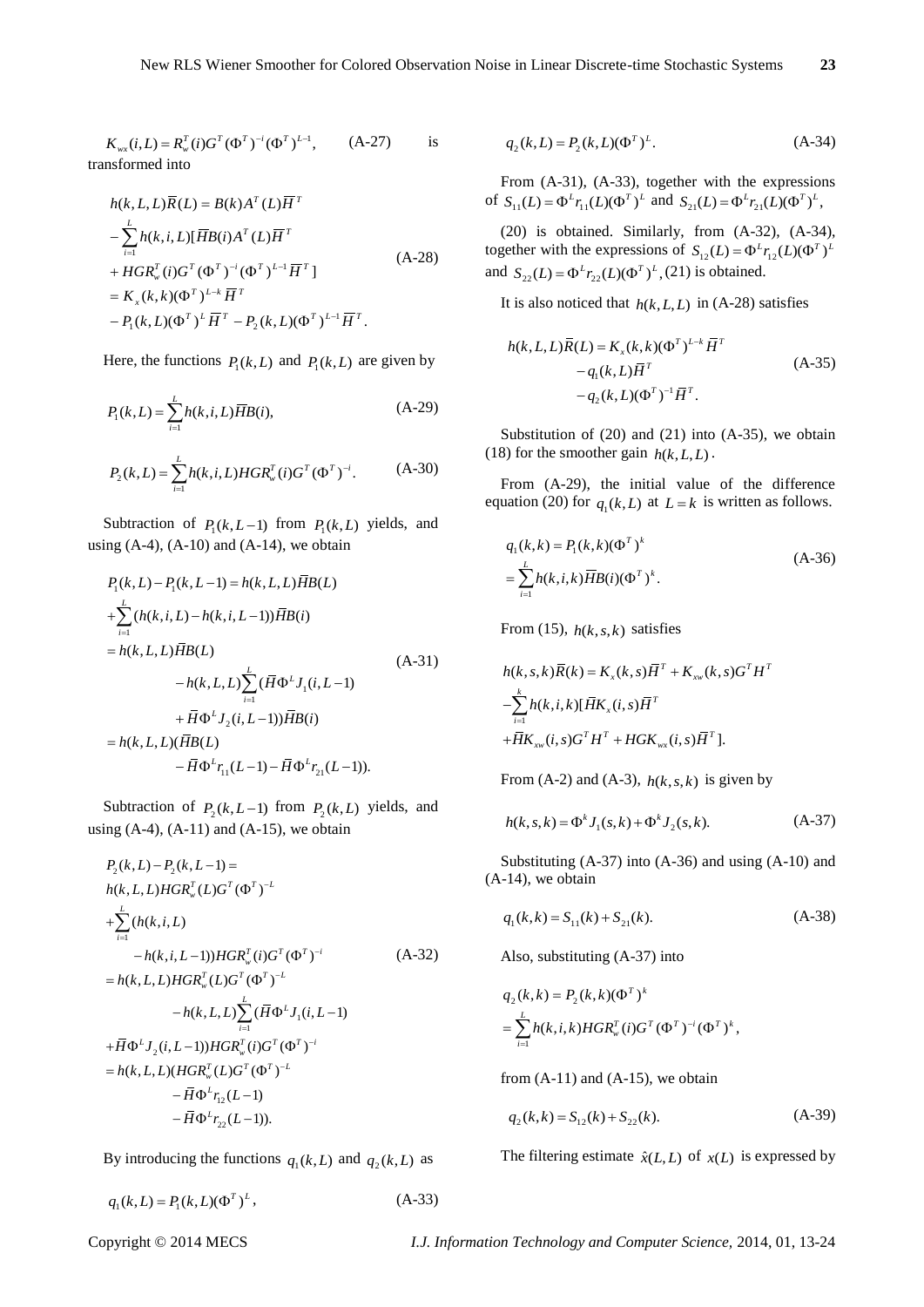$$
K_{wx}(i, L) = R_w^T(i)G^T (\Phi^T)^{-i} (\Phi^T)^{L-1}, \qquad (A-27)
$$
 is  
transformed into

$$
h(k, L, L)\overline{R}(L) = B(k)A^{T}(L)\overline{H}^{T}
$$
  
\n
$$
-\sum_{i=1}^{L} h(k, i, L)[\overline{H}B(i)A^{T}(L)\overline{H}^{T}
$$
  
\n
$$
+ HGR_{w}^{T}(i)G^{T}(\Phi^{T})^{-i}(\Phi^{T})^{L-1}\overline{H}^{T}]
$$
  
\n
$$
= K_{x}(k, k)(\Phi^{T})^{L} \overline{H}^{T}
$$
  
\n
$$
-P_{1}(k, L)(\Phi^{T})^{L}\overline{H}^{T} - P_{2}(k, L)(\Phi^{T})^{L-1}\overline{H}^{T}.
$$
 (A-28)

Here, the functions  $P_1(k, L)$  and  $P_1(k, L)$  are given by

$$
P_1(k, L) = \sum_{i=1}^{L} h(k, i, L) \overline{H} B(i),
$$
 (A-29)

$$
P_2(k,L) = \sum_{i=1}^{L} h(k,i,L) HGR_w^T(i)G^T (\Phi^T)^{-i}.
$$
 (A-30)

Subtraction of  $P_1(k, L-1)$  from  $P_1(k, L)$  yields, and using  $(A-4)$ ,  $(A-10)$  and  $(A-14)$ , we obtain

$$
P_{1}(k, L) - P_{1}(k, L-1) = h(k, L, L)\overline{H}B(L)
$$
  
+
$$
\sum_{i=1}^{L} (h(k, i, L) - h(k, i, L-1))\overline{H}B(i)
$$
  
=  $h(k, L, L)\overline{H}B(L)$   
 $- h(k, L, L)\sum_{i=1}^{L} (\overline{H}\Phi^{L}J_{1}(i, L-1))$   
+  $\overline{H}\Phi^{L}J_{2}(i, L-1))\overline{H}B(i)$   
=  $h(k, L, L)(\overline{H}B(L)$   
 $- \overline{H}\Phi^{L}r_{11}(L-1) - \overline{H}\Phi^{L}r_{21}(L-1)).$  (A-31)

Subtraction of  $P_2(k, L-1)$  from  $P_2(k, L)$  yields, and using  $(A-4)$ ,  $(A-11)$  and  $(A-15)$ , we obtain

$$
K_{m,0}(I, J) = R_{n}^{*}(t)G^{*}(d^{k})^{*}(d^{k})^{*}(d^{k})^{*} + \sum_{r=1}^{n} R_{n}^{*}(t, J, \lambda_{r}^{*}(I, \lambda_{r}^{*}(I, \lambda_{r}^{*}(I, \lambda_{r}^{*}(I, \lambda_{r}^{*}(I, \lambda_{r}^{*}(I, \lambda_{r}^{*}(I, \lambda_{r}^{*}(I, \lambda_{r}^{*}(I, \lambda_{r}^{*}(I, \lambda_{r}^{*}(I, \lambda_{r}^{*}(I, \lambda_{r}^{*}(I, \lambda_{r}^{*}(I, \lambda_{r}^{*}(I, \lambda_{r}^{*}(I, \lambda_{r}^{*}(I, \lambda_{r}^{*}(I, \lambda_{r}^{*}(I, \lambda_{r}^{*}(I, \lambda_{r}^{*}(I, \lambda_{r}^{*}(I, \lambda_{r}^{*}(I, \lambda_{r}^{*}(I, \lambda_{r}^{*}(I, \lambda_{r}^{*}(I, \lambda_{r}^{*}(I, \lambda_{r}^{*}(I, \lambda_{r}^{*}(I, \lambda_{r}^{*}(I, \lambda_{r}^{*}(I, \lambda_{r}^{*}(I, \lambda_{r}^{*}(I, \lambda_{r}^{*}(I, \lambda_{r}^{*}(I, \lambda_{r}^{*}(I, \lambda_{r}^{*}(I, \lambda_{r}^{*}(I, \lambda_{r}^{*}(I, \lambda_{r}^{*}(I, \lambda_{r}^{*}(I, \lambda_{r}^{*}(I, \lambda_{r}^{*}(I, \lambda_{r}^{*}(I, \lambda_{r}^{*}(I, \lambda_{r}^{*}(I, \lambda_{r}^{*}(I, \lambda_{r}^{*}(I, \lambda_{r}^{*}(I, \lambda_{r}^{*}(I, \lambda_{r}^{*}(I, \lambda_{r}^{*}(I, \lambda_{r}^{*}(I, \lambda_{r}^{*}(I, \lambda_{r}^{*}(I, \lambda_{r}^{*}(I, \lambda_{r}^{*}(I, \lambda_{r}^{*}(I, \lambda_{r}^{*}(I, \lambda_{r}^{*}(I, \lambda_{r}^{*}(I, \lambda_{r}^{*}(I, \lambda_{r}^{*}(I, \lambda_{r}^{*}(I, \lambda_{r}^{*}(I, \lambda_{r}^{*}(I, \lambda_{r}^{*}(I, \lambda_{r}^{*}(I, \lambda_{r}^{*}(I,
$$

By introducing the functions  $q_1(k, L)$  and  $q_2(k, L)$  as

$$
q_1(k, L) = P_1(k, L)(\Phi^T)^L, \tag{A-33}
$$

$$
q_2(k, L) = P_2(k, L)(\Phi^T)^L.
$$
 (A-34)

From (A-31), (A-33), together with the expressions of  $S_{11}(L) = \Phi^L r_{11}(L) (\Phi^T)^L$  and  $S_{21}(L) = \Phi^L r_{21}(L) (\Phi^T)^L$ ,

(20) is obtained. Similarly, from (A-32), (A-34), together with the expressions of  $S_{12}(L) = \Phi^L r_{12}(L) (\Phi^T)^L$ and  $S_{22}(L) = \Phi^L r_{22}(L) (\Phi^T)^L$ , (21) is obtained.

It is also noticed that  $h(k, L, L)$  in (A-28) satisfies

$$
h(k, L, L)\overline{R}(L) = K_x(k, k)(\Phi^T)^{L-k} \overline{H}^T
$$
  
\n
$$
-q_1(k, L)\overline{H}^T
$$
  
\n
$$
-q_2(k, L)(\Phi^T)^{-1}\overline{H}^T.
$$
 (A-35)

Substitution of  $(20)$  and  $(21)$  into  $(A-35)$ , we obtain (18) for the smoother gain  $h(k, L, L)$ .

From (A-29), the initial value of the difference equation (20) for  $q_1(k, L)$  at  $L = k$  is written as follows.

$$
q_1(k,k) = P_1(k,k)(\Phi^T)^k
$$
  
=  $\sum_{i=1}^{L} h(k,i,k) \overline{H} B(i) (\Phi^T)^k$ . (A-36)

From (15),  $h(k, s, k)$  satisfies

$$
h(k, s, k)\overline{R}(k) = K_x(k, s)\overline{H}^T + K_{xw}(k, s)G^T H^T
$$
  
-
$$
\sum_{i=1}^k h(k, i, k)[\overline{H}K_x(i, s)\overline{H}^T
$$
  
+
$$
\overline{H}K_{xw}(i, s)G^T H^T + HGK_{wx}(i, s)\overline{H}^T].
$$

From (A-2) and (A-3),  $h(k, s, k)$  is given by

$$
h(k, s, k) = \Phi^k J_1(s, k) + \Phi^k J_2(s, k). \tag{A-37}
$$

Substituting (A-37) into (A-36) and using (A-10) and (A-14), we obtain

$$
q_1(k,k) = S_{11}(k) + S_{21}(k). \tag{A-38}
$$

Also, substituting (A-37) into

$$
q_2(k,k) = P_2(k,k)(\Phi^T)^k
$$
  
=  $\sum_{i=1}^L h(k,i,k) HGR_w^T(i)G^T (\Phi^T)^{-i} (\Phi^T)^k$ ,

from  $(A-11)$  and  $(A-15)$ , we obtain

$$
q_2(k,k) = S_{12}(k) + S_{22}(k). \tag{A-39}
$$

The filtering estimate  $\hat{x}(L, L)$  of  $x(L)$  is expressed by